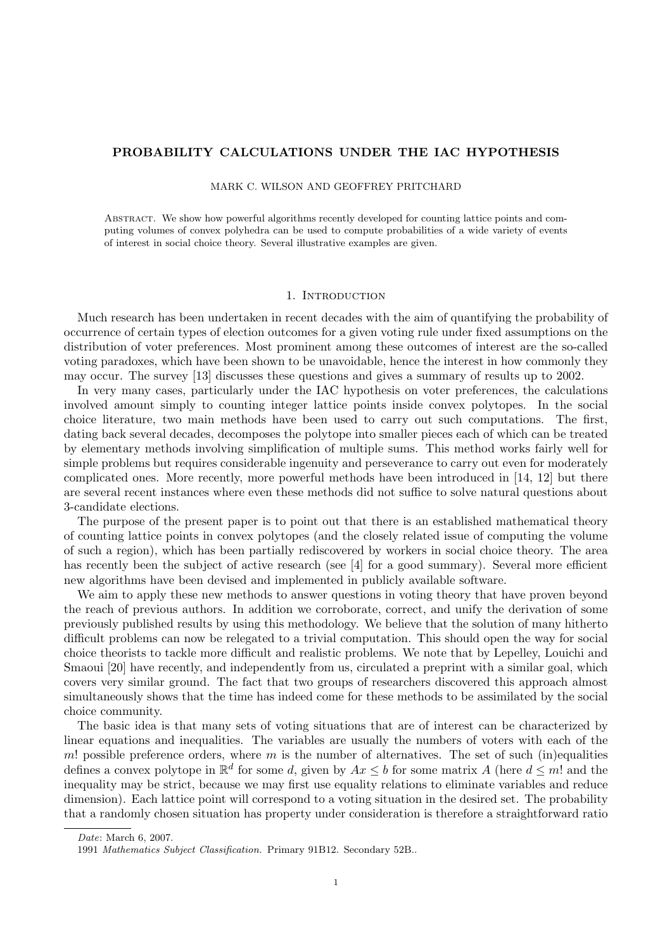# PROBABILITY CALCULATIONS UNDER THE IAC HYPOTHESIS

MARK C. WILSON AND GEOFFREY PRITCHARD

Abstract. We show how powerful algorithms recently developed for counting lattice points and computing volumes of convex polyhedra can be used to compute probabilities of a wide variety of events of interest in social choice theory. Several illustrative examples are given.

### 1. INTRODUCTION

Much research has been undertaken in recent decades with the aim of quantifying the probability of occurrence of certain types of election outcomes for a given voting rule under fixed assumptions on the distribution of voter preferences. Most prominent among these outcomes of interest are the so-called voting paradoxes, which have been shown to be unavoidable, hence the interest in how commonly they may occur. The survey [13] discusses these questions and gives a summary of results up to 2002.

In very many cases, particularly under the IAC hypothesis on voter preferences, the calculations involved amount simply to counting integer lattice points inside convex polytopes. In the social choice literature, two main methods have been used to carry out such computations. The first, dating back several decades, decomposes the polytope into smaller pieces each of which can be treated by elementary methods involving simplification of multiple sums. This method works fairly well for simple problems but requires considerable ingenuity and perseverance to carry out even for moderately complicated ones. More recently, more powerful methods have been introduced in [14, 12] but there are several recent instances where even these methods did not suffice to solve natural questions about 3-candidate elections.

The purpose of the present paper is to point out that there is an established mathematical theory of counting lattice points in convex polytopes (and the closely related issue of computing the volume of such a region), which has been partially rediscovered by workers in social choice theory. The area has recently been the subject of active research (see [4] for a good summary). Several more efficient new algorithms have been devised and implemented in publicly available software.

We aim to apply these new methods to answer questions in voting theory that have proven beyond the reach of previous authors. In addition we corroborate, correct, and unify the derivation of some previously published results by using this methodology. We believe that the solution of many hitherto difficult problems can now be relegated to a trivial computation. This should open the way for social choice theorists to tackle more difficult and realistic problems. We note that by Lepelley, Louichi and Smaoui [20] have recently, and independently from us, circulated a preprint with a similar goal, which covers very similar ground. The fact that two groups of researchers discovered this approach almost simultaneously shows that the time has indeed come for these methods to be assimilated by the social choice community.

The basic idea is that many sets of voting situations that are of interest can be characterized by linear equations and inequalities. The variables are usually the numbers of voters with each of the m! possible preference orders, where  $m$  is the number of alternatives. The set of such (in)equalities defines a convex polytope in  $\mathbb{R}^d$  for some d, given by  $Ax \leq b$  for some matrix A (here  $d \leq m!$  and the inequality may be strict, because we may first use equality relations to eliminate variables and reduce dimension). Each lattice point will correspond to a voting situation in the desired set. The probability that a randomly chosen situation has property under consideration is therefore a straightforward ratio

Date: March 6, 2007.

<sup>1991</sup> Mathematics Subject Classification. Primary 91B12. Secondary 52B..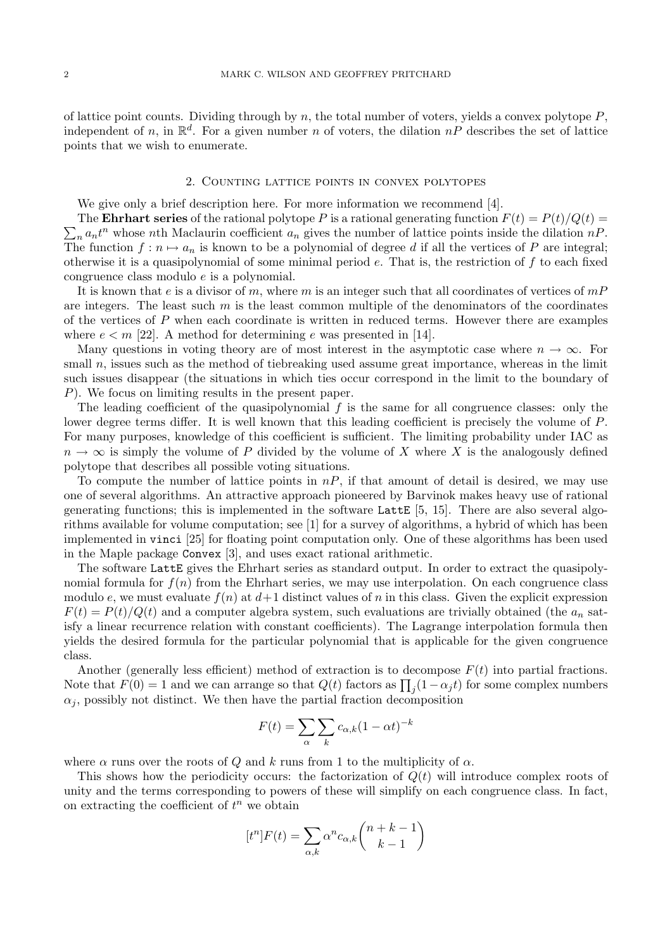of lattice point counts. Dividing through by n, the total number of voters, yields a convex polytope  $P$ , independent of n, in  $\mathbb{R}^d$ . For a given number n of voters, the dilation  $nP$  describes the set of lattice points that we wish to enumerate.

### 2. Counting lattice points in convex polytopes

We give only a brief description here. For more information we recommend [4].

 $\sum_n a_n t^n$  whose nth Maclaurin coefficient  $a_n$  gives the number of lattice points inside the dilation  $nP$ . The **Ehrhart series** of the rational polytope P is a rational generating function  $F(t) = P(t)/Q(t)$ The function  $f: n \mapsto a_n$  is known to be a polynomial of degree d if all the vertices of P are integral; otherwise it is a quasipolynomial of some minimal period  $e$ . That is, the restriction of  $f$  to each fixed congruence class modulo e is a polynomial.

It is known that e is a divisor of m, where m is an integer such that all coordinates of vertices of  $mP$ are integers. The least such  $m$  is the least common multiple of the denominators of the coordinates of the vertices of P when each coordinate is written in reduced terms. However there are examples where  $e < m$  [22]. A method for determining e was presented in [14].

Many questions in voting theory are of most interest in the asymptotic case where  $n \to \infty$ . For small  $n$ , issues such as the method of tiebreaking used assume great importance, whereas in the limit such issues disappear (the situations in which ties occur correspond in the limit to the boundary of P). We focus on limiting results in the present paper.

The leading coefficient of the quasipolynomial  $f$  is the same for all congruence classes: only the lower degree terms differ. It is well known that this leading coefficient is precisely the volume of P. For many purposes, knowledge of this coefficient is sufficient. The limiting probability under IAC as  $n \to \infty$  is simply the volume of P divided by the volume of X where X is the analogously defined polytope that describes all possible voting situations.

To compute the number of lattice points in  $nP$ , if that amount of detail is desired, we may use one of several algorithms. An attractive approach pioneered by Barvinok makes heavy use of rational generating functions; this is implemented in the software Latt  $[5, 15]$ . There are also several algorithms available for volume computation; see [1] for a survey of algorithms, a hybrid of which has been implemented in vinci [25] for floating point computation only. One of these algorithms has been used in the Maple package Convex [3], and uses exact rational arithmetic.

The software LattE gives the Ehrhart series as standard output. In order to extract the quasipolynomial formula for  $f(n)$  from the Ehrhart series, we may use interpolation. On each congruence class modulo e, we must evaluate  $f(n)$  at  $d+1$  distinct values of n in this class. Given the explicit expression  $F(t) = P(t)/Q(t)$  and a computer algebra system, such evaluations are trivially obtained (the  $a_n$  satisfy a linear recurrence relation with constant coefficients). The Lagrange interpolation formula then yields the desired formula for the particular polynomial that is applicable for the given congruence class.

Another (generally less efficient) method of extraction is to decompose  $F(t)$  into partial fractions. Note that  $F(0) = 1$  and we can arrange so that  $Q(t)$  factors as  $\prod_j (1 - \alpha_j t)$  for some complex numbers  $\alpha_i$ , possibly not distinct. We then have the partial fraction decomposition

$$
F(t) = \sum_{\alpha} \sum_{k} c_{\alpha,k} (1 - \alpha t)^{-k}
$$

where  $\alpha$  runs over the roots of Q and k runs from 1 to the multiplicity of  $\alpha$ .

This shows how the periodicity occurs: the factorization of  $Q(t)$  will introduce complex roots of unity and the terms corresponding to powers of these will simplify on each congruence class. In fact, on extracting the coefficient of  $t^n$  we obtain

$$
[t^n]F(t) = \sum_{\alpha,k} \alpha^n c_{\alpha,k} \binom{n+k-1}{k-1}
$$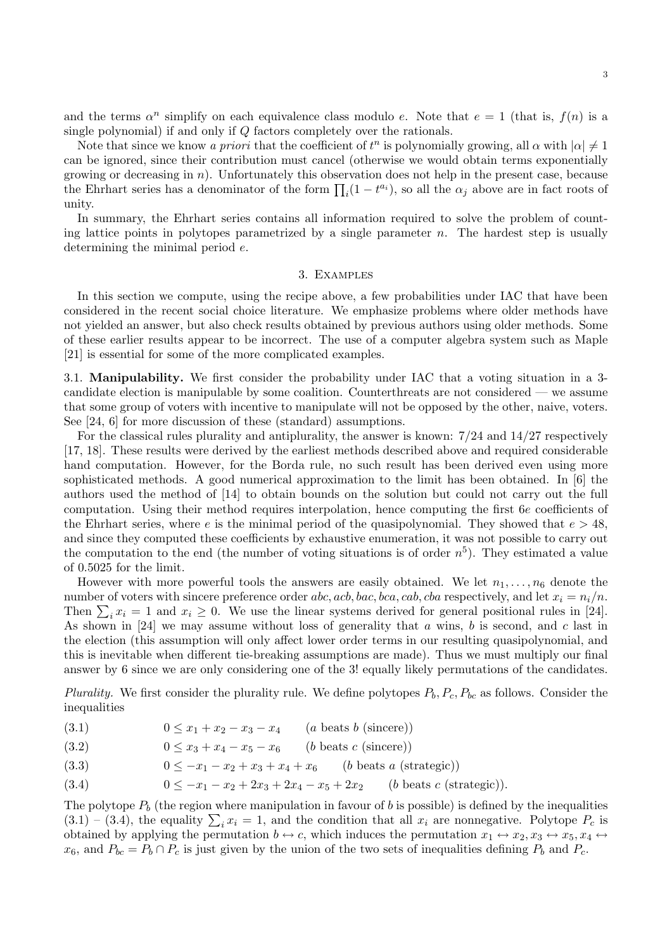and the terms  $\alpha^n$  simplify on each equivalence class modulo e. Note that  $e = 1$  (that is,  $f(n)$  is a single polynomial) if and only if Q factors completely over the rationals.

Note that since we know a priori that the coefficient of  $t^n$  is polynomially growing, all  $\alpha$  with  $|\alpha|\neq 1$ can be ignored, since their contribution must cancel (otherwise we would obtain terms exponentially growing or decreasing in n). Unfortunately this observation does not help in the present case, because the Ehrhart series has a denominator of the form  $\prod_i(1-t^{a_i})$ , so all the  $\alpha_j$  above are in fact roots of unity.

In summary, the Ehrhart series contains all information required to solve the problem of counting lattice points in polytopes parametrized by a single parameter  $n$ . The hardest step is usually determining the minimal period e.

#### 3. Examples

In this section we compute, using the recipe above, a few probabilities under IAC that have been considered in the recent social choice literature. We emphasize problems where older methods have not yielded an answer, but also check results obtained by previous authors using older methods. Some of these earlier results appear to be incorrect. The use of a computer algebra system such as Maple [21] is essential for some of the more complicated examples.

3.1. Manipulability. We first consider the probability under IAC that a voting situation in a 3 candidate election is manipulable by some coalition. Counterthreats are not considered — we assume that some group of voters with incentive to manipulate will not be opposed by the other, naive, voters. See [24, 6] for more discussion of these (standard) assumptions.

For the classical rules plurality and antiplurality, the answer is known: 7/24 and 14/27 respectively [17, 18]. These results were derived by the earliest methods described above and required considerable hand computation. However, for the Borda rule, no such result has been derived even using more sophisticated methods. A good numerical approximation to the limit has been obtained. In [6] the authors used the method of [14] to obtain bounds on the solution but could not carry out the full computation. Using their method requires interpolation, hence computing the first 6e coefficients of the Ehrhart series, where e is the minimal period of the quasipolynomial. They showed that  $e > 48$ , and since they computed these coefficients by exhaustive enumeration, it was not possible to carry out the computation to the end (the number of voting situations is of order  $n<sup>5</sup>$ ). They estimated a value of 0.5025 for the limit.

However with more powerful tools the answers are easily obtained. We let  $n_1, \ldots, n_6$  denote the number of voters with sincere preference order abc, acb, bac, bca, cab, cba respectively, and let  $x_i = n_i/n$ . Then  $\sum_i x_i = 1$  and  $x_i \ge 0$ . We use the linear systems derived for general positional rules in [24]. As shown in [24] we may assume without loss of generality that a wins, b is second, and c last in the election (this assumption will only affect lower order terms in our resulting quasipolynomial, and this is inevitable when different tie-breaking assumptions are made). Thus we must multiply our final answer by 6 since we are only considering one of the 3! equally likely permutations of the candidates.

Plurality. We first consider the plurality rule. We define polytopes  $P_b, P_c, P_{bc}$  as follows. Consider the inequalities

- (3.1)  $0 \le x_1 + x_2 x_3 x_4$  (a beats b (sincere))
- (3.2)  $0 \le x_3 + x_4 x_5 x_6$  (b beats c (sincere))
- (3.3)  $0 \leq -x_1 x_2 + x_3 + x_4 + x_6$  (b beats a (strategic))
- (3.4)  $0 \leq -x_1 x_2 + 2x_3 + 2x_4 x_5 + 2x_2$  (b beats c (strategic)).

The polytope  $P_b$  (the region where manipulation in favour of b is possible) is defined by the inequalities  $(3.1) - (3.4)$ , the equality  $\sum_i x_i = 1$ , and the condition that all  $x_i$  are nonnegative. Polytope  $P_c$  is obtained by applying the permutation  $b \leftrightarrow c$ , which induces the permutation  $x_1 \leftrightarrow x_2, x_3 \leftrightarrow x_5, x_4 \leftrightarrow$  $x_6$ , and  $P_{bc} = P_b \cap P_c$  is just given by the union of the two sets of inequalities defining  $P_b$  and  $P_c$ .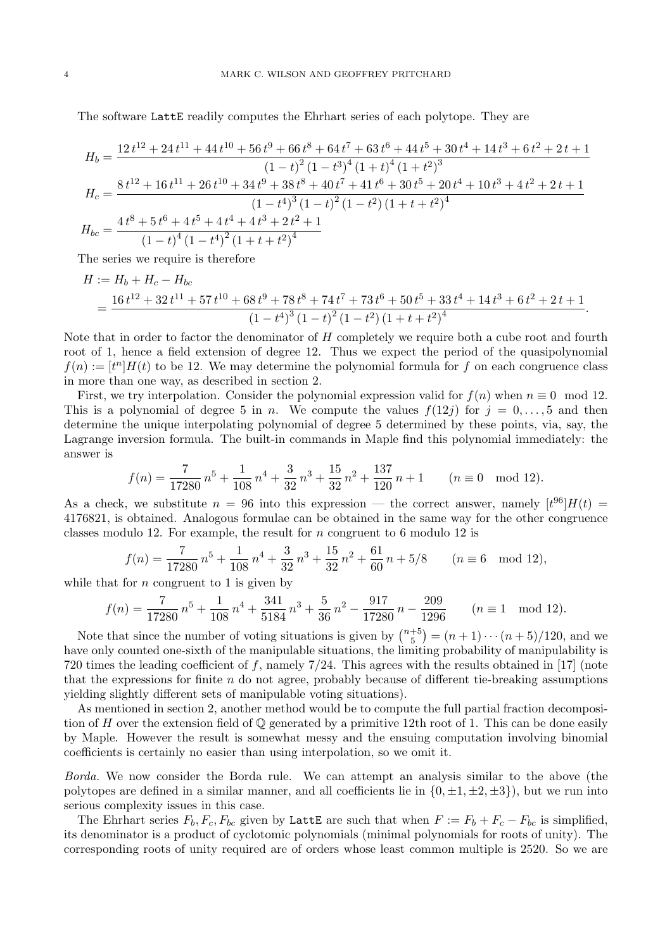The software LattE readily computes the Ehrhart series of each polytope. They are

$$
H_{b} = \frac{12 t^{12} + 24 t^{11} + 44 t^{10} + 56 t^{9} + 66 t^{8} + 64 t^{7} + 63 t^{6} + 44 t^{5} + 30 t^{4} + 14 t^{3} + 6 t^{2} + 2 t + 1}{(1 - t)^{2} (1 - t^{3})^{4} (1 + t)^{4} (1 + t^{2})^{3}}
$$
  
\n
$$
H_{c} = \frac{8 t^{12} + 16 t^{11} + 26 t^{10} + 34 t^{9} + 38 t^{8} + 40 t^{7} + 41 t^{6} + 30 t^{5} + 20 t^{4} + 10 t^{3} + 4 t^{2} + 2 t + 1}{(1 - t^{4})^{3} (1 - t)^{2} (1 - t^{2}) (1 + t + t^{2})^{4}}
$$
  
\n
$$
H_{bc} = \frac{4 t^{8} + 5 t^{6} + 4 t^{5} + 4 t^{4} + 4 t^{3} + 2 t^{2} + 1}{(1 - t)^{4} (1 - t^{4})^{2} (1 + t + t^{2})^{4}}
$$

The series we require is therefore

$$
H := H_b + H_c - H_{bc}
$$
  
= 
$$
\frac{16 t^{12} + 32 t^{11} + 57 t^{10} + 68 t^9 + 78 t^8 + 74 t^7 + 73 t^6 + 50 t^5 + 33 t^4 + 14 t^3 + 6 t^2 + 2 t + 1}{(1 - t^4)^3 (1 - t)^2 (1 - t^2) (1 + t + t^2)^4}.
$$

Note that in order to factor the denominator of H completely we require both a cube root and fourth root of 1, hence a field extension of degree 12. Thus we expect the period of the quasipolynomial  $f(n) := [t^n] H(t)$  to be 12. We may determine the polynomial formula for f on each congruence class in more than one way, as described in section 2.

First, we try interpolation. Consider the polynomial expression valid for  $f(n)$  when  $n \equiv 0 \mod 12$ . This is a polynomial of degree 5 in n. We compute the values  $f(12j)$  for  $j = 0, \ldots, 5$  and then determine the unique interpolating polynomial of degree 5 determined by these points, via, say, the Lagrange inversion formula. The built-in commands in Maple find this polynomial immediately: the answer is

$$
f(n) = \frac{7}{17280}n^5 + \frac{1}{108}n^4 + \frac{3}{32}n^3 + \frac{15}{32}n^2 + \frac{137}{120}n + 1 \qquad (n \equiv 0 \mod 12).
$$

As a check, we substitute  $n = 96$  into this expression — the correct answer, namely  $[t^{96}]H(t) =$ 4176821, is obtained. Analogous formulae can be obtained in the same way for the other congruence classes modulo 12. For example, the result for n congruent to 6 modulo 12 is

$$
f(n) = \frac{7}{17280}n^5 + \frac{1}{108}n^4 + \frac{3}{32}n^3 + \frac{15}{32}n^2 + \frac{61}{60}n + 5/8 \qquad (n \equiv 6 \mod 12),
$$

while that for  $n$  congruent to 1 is given by

$$
f(n) = \frac{7}{17280}n^5 + \frac{1}{108}n^4 + \frac{341}{5184}n^3 + \frac{5}{36}n^2 - \frac{917}{17280}n - \frac{209}{1296} \qquad (n \equiv 1 \mod 12).
$$

Note that since the number of voting situations is given by  $\binom{n+5}{5}$  $\binom{+5}{5}$  =  $(n+1)\cdots(n+5)/120$ , and we have only counted one-sixth of the manipulable situations, the limiting probability of manipulability is 720 times the leading coefficient of f, namely  $7/24$ . This agrees with the results obtained in [17] (note that the expressions for finite  $n$  do not agree, probably because of different tie-breaking assumptions yielding slightly different sets of manipulable voting situations).

As mentioned in section 2, another method would be to compute the full partial fraction decomposition of H over the extension field of  $\mathbb Q$  generated by a primitive 12th root of 1. This can be done easily by Maple. However the result is somewhat messy and the ensuing computation involving binomial coefficients is certainly no easier than using interpolation, so we omit it.

Borda. We now consider the Borda rule. We can attempt an analysis similar to the above (the polytopes are defined in a similar manner, and all coefficients lie in  $\{0, \pm 1, \pm 2, \pm 3\}$ , but we run into serious complexity issues in this case.

The Ehrhart series  $F_b, F_c, F_{bc}$  given by LattE are such that when  $F := F_b + F_c - F_{bc}$  is simplified, its denominator is a product of cyclotomic polynomials (minimal polynomials for roots of unity). The corresponding roots of unity required are of orders whose least common multiple is 2520. So we are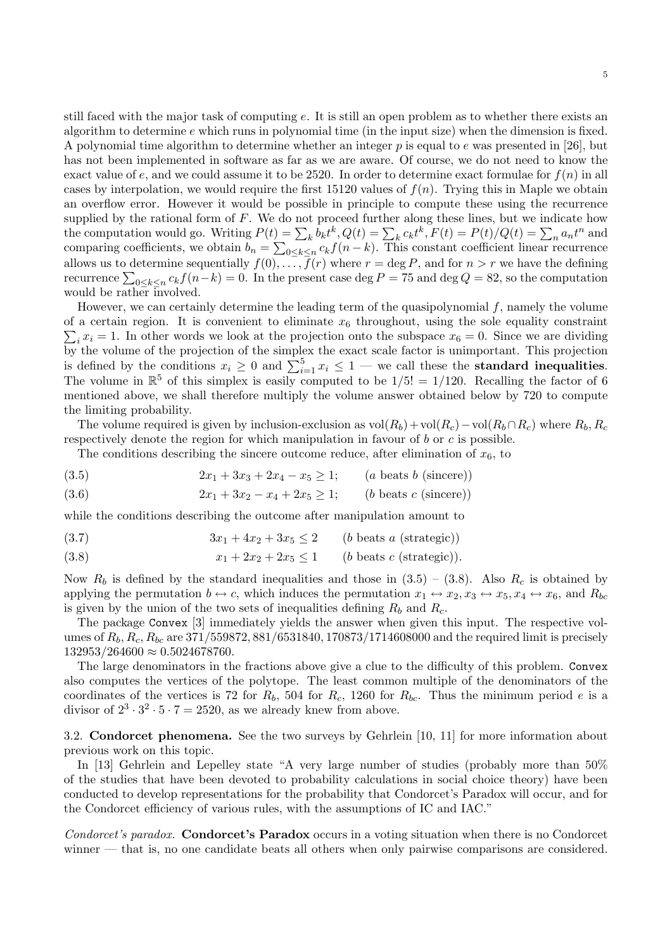still faced with the major task of computing e. It is still an open problem as to whether there exists an algorithm to determine  $e$  which runs in polynomial time (in the input size) when the dimension is fixed. A polynomial time algorithm to determine whether an integer  $p$  is equal to  $e$  was presented in [26], but has not been implemented in software as far as we are aware. Of course, we do not need to know the exact value of e, and we could assume it to be 2520. In order to determine exact formulae for  $f(n)$  in all cases by interpolation, we would require the first 15120 values of  $f(n)$ . Trying this in Maple we obtain an overflow error. However it would be possible in principle to compute these using the recurrence supplied by the rational form of  $F$ . We do not proceed further along these lines, but we indicate how the computation would go. Writing  $P(t) = \sum_{k} b_k t^k$ ,  $Q(t) = \sum_{k} c_k t^k$ ,  $F(t) = P(t)/Q(t) = \sum_{k} a_k t^k$  and comparing coefficients, we obtain  $b_n = \sum_{0 \le k \le n} c_k f(n-k)$ . This constant coefficient linear recurrence allows us to determine sequentially  $f(0), \ldots, \bar{f}(r)$  where  $r = \deg P$ , and for  $n > r$  we have the defining recurrence  $\sum_{0 \le k \le n} c_k f(n-k) = 0$ . In the present case deg  $P = 75$  and deg  $Q = 82$ , so the computation would be rather involved.

However, we can certainly determine the leading term of the quasipolynomial  $f$ , namely the volume of a certain region. It is convenient to eliminate  $x_6$  throughout, using the sole equality constraint  $\sum_i x_i = 1$ . In other words we look at the projection onto the subspace  $x_6 = 0$ . Since we are dividing by the volume of the projection of the simplex the exact scale factor is unimportant. This projection is defined by the conditions  $x_i \geq 0$  and  $\sum_{i=1}^{5} x_i \leq 1$  — we call these the **standard inequalities**. The volume in  $\mathbb{R}^5$  of this simplex is easily computed to be  $1/5! = 1/120$ . Recalling the factor of 6 mentioned above, we shall therefore multiply the volume answer obtained below by 720 to compute the limiting probability.

The volume required is given by inclusion-exclusion as  $vol(R_b)+vol(R_c)-vol(R_b\cap R_c)$  where  $R_b, R_c$ respectively denote the region for which manipulation in favour of  $b$  or  $c$  is possible.

The conditions describing the sincere outcome reduce, after elimination of  $x_6$ , to

(3.5) 
$$
2x_1 + 3x_3 + 2x_4 - x_5 \ge 1; \qquad (a \text{ beats } b \text{ (sincere)})
$$

(3.6)  $2x_1 + 3x_2 - x_4 + 2x_5 \ge 1;$  (b beats c (sincere))

while the conditions describing the outcome after manipulation amount to

$$
(3.7) \t\t 3x_1 + 4x_2 + 3x_5 \le 2 \t (b \text{ beats } a \text{ (strategic)})
$$

(3.8) 
$$
x_1 + 2x_2 + 2x_5 \le 1 \qquad (b \text{ beats } c \text{ (strategic)}).
$$

Now  $R_b$  is defined by the standard inequalities and those in  $(3.5) - (3.8)$ . Also  $R_c$  is obtained by applying the permutation  $b \leftrightarrow c$ , which induces the permutation  $x_1 \leftrightarrow x_2, x_3 \leftrightarrow x_5, x_4 \leftrightarrow x_6$ , and  $R_{bc}$ is given by the union of the two sets of inequalities defining  $R_b$  and  $R_c$ .

The package Convex [3] immediately yields the answer when given this input. The respective volumes of  $R_b, R_c, R_{bc}$  are 371/559872, 881/6531840, 170873/1714608000 and the required limit is precisely  $132953/264600 \approx 0.5024678760.$ 

The large denominators in the fractions above give a clue to the difficulty of this problem. Convex also computes the vertices of the polytope. The least common multiple of the denominators of the coordinates of the vertices is 72 for  $R_b$ , 504 for  $R_c$ , 1260 for  $R_{bc}$ . Thus the minimum period e is a divisor of  $2^3 \cdot 3^2 \cdot 5 \cdot 7 = 2520$ , as we already knew from above.

3.2. Condorcet phenomena. See the two surveys by Gehrlein [10, 11] for more information about previous work on this topic.

In [13] Gehrlein and Lepelley state "A very large number of studies (probably more than 50% of the studies that have been devoted to probability calculations in social choice theory) have been conducted to develop representations for the probability that Condorcet's Paradox will occur, and for the Condorcet efficiency of various rules, with the assumptions of IC and IAC."

Condorcet's paradox. **Condorcet's Paradox** occurs in a voting situation when there is no Condorcet winner — that is, no one candidate beats all others when only pairwise comparisons are considered.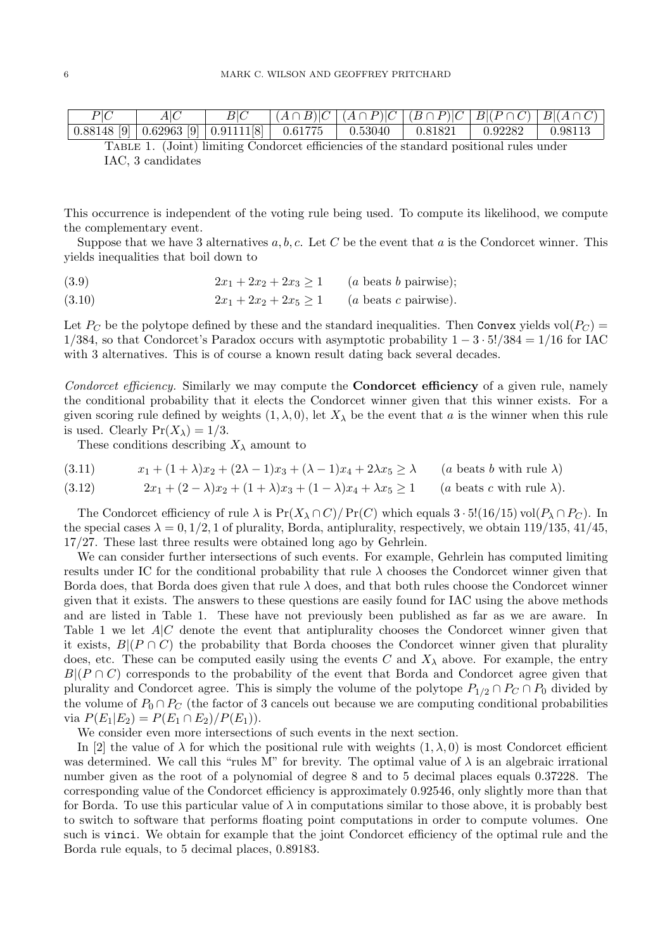| $P\vert C$ |  | $ (A \cap B) C (A \cap P) C (B \cap P) C B (P \cap C) B (A \cap C)$ |                     |                                                                                |  |
|------------|--|---------------------------------------------------------------------|---------------------|--------------------------------------------------------------------------------|--|
|            |  |                                                                     | $\degree$   0.81821 | $\begin{array}{ c c c c c c } \hline 0.92282 & & 0.98113 \ \hline \end{array}$ |  |

Table 1. (Joint) limiting Condorcet efficiencies of the standard positional rules under IAC, 3 candidates

This occurrence is independent of the voting rule being used. To compute its likelihood, we compute the complementary event.

Suppose that we have 3 alternatives  $a, b, c$ . Let C be the event that a is the Condorcet winner. This yields inequalities that boil down to

(3.9)  $2x_1 + 2x_2 + 2x_3 \ge 1$  (a beats b pairwise);

(3.10) 
$$
2x_1 + 2x_2 + 2x_5 \ge 1
$$
 (*a* beats *c* pairwise).

Let  $P_C$  be the polytope defined by these and the standard inequalities. Then Convex yields vol $(P_C)$  =  $1/384$ , so that Condorcet's Paradox occurs with asymptotic probability  $1 - 3 \cdot 5!/384 = 1/16$  for IAC with 3 alternatives. This is of course a known result dating back several decades.

Condorcet efficiency. Similarly we may compute the **Condorcet efficiency** of a given rule, namely the conditional probability that it elects the Condorcet winner given that this winner exists. For a given scoring rule defined by weights  $(1, \lambda, 0)$ , let  $X_{\lambda}$  be the event that a is the winner when this rule is used. Clearly  $Pr(X_{\lambda}) = 1/3$ .

These conditions describing  $X_{\lambda}$  amount to

(3.11) 
$$
x_1 + (1 + \lambda)x_2 + (2\lambda - 1)x_3 + (\lambda - 1)x_4 + 2\lambda x_5 \ge \lambda \qquad (a \text{ beats } b \text{ with rule } \lambda)
$$

(3.12) 
$$
2x_1 + (2 - \lambda)x_2 + (1 + \lambda)x_3 + (1 - \lambda)x_4 + \lambda x_5 \ge 1 \qquad (a \text{ beats } c \text{ with rule } \lambda).
$$

The Condorcet efficiency of rule  $\lambda$  is  $Pr(X_{\lambda} \cap C)/Pr(C)$  which equals  $3 \cdot 5!(16/15)$  vol $(P_{\lambda} \cap P_{C})$ . In the special cases  $\lambda = 0, 1/2, 1$  of plurality, Borda, antiplurality, respectively, we obtain 119/135, 41/45, 17/27. These last three results were obtained long ago by Gehrlein.

We can consider further intersections of such events. For example, Gehrlein has computed limiting results under IC for the conditional probability that rule  $\lambda$  chooses the Condorcet winner given that Borda does, that Borda does given that rule  $\lambda$  does, and that both rules choose the Condorcet winner given that it exists. The answers to these questions are easily found for IAC using the above methods and are listed in Table 1. These have not previously been published as far as we are aware. In Table 1 we let  $A|C$  denote the event that antiplurality chooses the Condorcet winner given that it exists,  $B|(P \cap C)$  the probability that Borda chooses the Condorcet winner given that plurality does, etc. These can be computed easily using the events C and  $X_{\lambda}$  above. For example, the entry  $B|(P \cap C)$  corresponds to the probability of the event that Borda and Condorcet agree given that plurality and Condorcet agree. This is simply the volume of the polytope  $P_{1/2} \cap P_C \cap P_0$  divided by the volume of  $P_0 \cap P_C$  (the factor of 3 cancels out because we are computing conditional probabilities via  $P(E_1|E_2) = P(E_1 \cap E_2)/P(E_1)$ .

We consider even more intersections of such events in the next section.

In [2] the value of  $\lambda$  for which the positional rule with weights  $(1, \lambda, 0)$  is most Condorcet efficient was determined. We call this "rules M" for brevity. The optimal value of  $\lambda$  is an algebraic irrational number given as the root of a polynomial of degree 8 and to 5 decimal places equals 0.37228. The corresponding value of the Condorcet efficiency is approximately 0.92546, only slightly more than that for Borda. To use this particular value of  $\lambda$  in computations similar to those above, it is probably best to switch to software that performs floating point computations in order to compute volumes. One such is vinci. We obtain for example that the joint Condorcet efficiency of the optimal rule and the Borda rule equals, to 5 decimal places, 0.89183.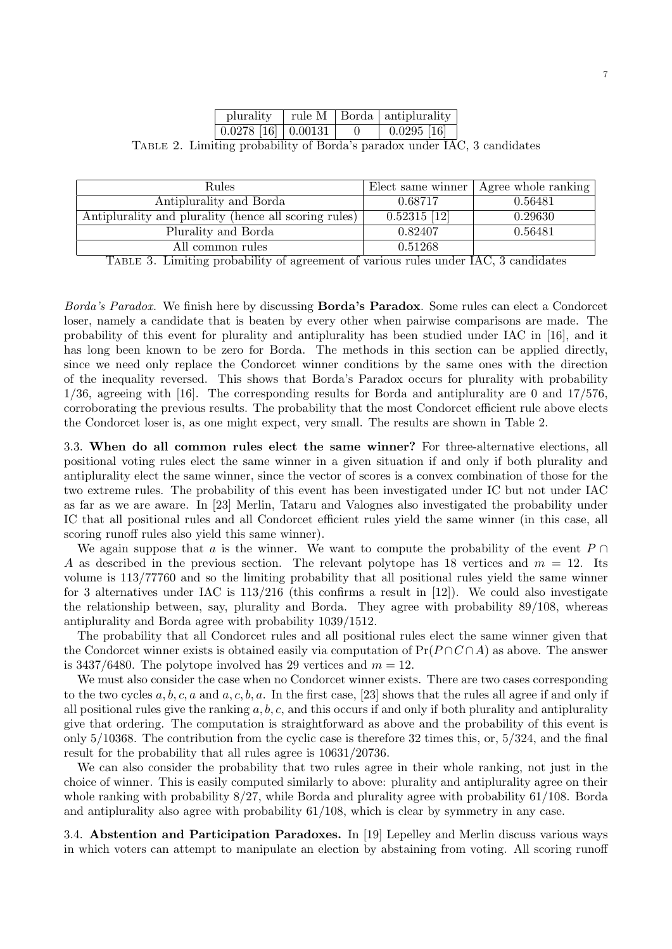|                                                          | plurality                           |  |  | $\vert$ rule M $\vert$ Borda $\vert$ antiplurality |  |
|----------------------------------------------------------|-------------------------------------|--|--|----------------------------------------------------|--|
|                                                          | $0.0278$ [16] $\vert 0.00131 \vert$ |  |  | $0.0295$ [16]                                      |  |
| $\cdots$ in the form in the international state $\cdots$ |                                     |  |  |                                                    |  |

Table 2. Limiting probability of Borda's paradox under IAC, 3 candidates

| Rules                                                 |                | Elect same winner   Agree whole ranking |
|-------------------------------------------------------|----------------|-----------------------------------------|
| Antiplurality and Borda                               | 0.68717        | 0.56481                                 |
| Antiplurality and plurality (hence all scoring rules) | $0.52315$ [12] | 0.29630                                 |
| Plurality and Borda                                   | 0.82407        | 0.56481                                 |
| All common rules                                      | 0.51268        |                                         |

Table 3. Limiting probability of agreement of various rules under IAC, 3 candidates

Borda's Paradox. We finish here by discussing Borda's Paradox. Some rules can elect a Condorcet loser, namely a candidate that is beaten by every other when pairwise comparisons are made. The probability of this event for plurality and antiplurality has been studied under IAC in [16], and it has long been known to be zero for Borda. The methods in this section can be applied directly, since we need only replace the Condorcet winner conditions by the same ones with the direction of the inequality reversed. This shows that Borda's Paradox occurs for plurality with probability 1/36, agreeing with [16]. The corresponding results for Borda and antiplurality are 0 and 17/576, corroborating the previous results. The probability that the most Condorcet efficient rule above elects the Condorcet loser is, as one might expect, very small. The results are shown in Table 2.

3.3. When do all common rules elect the same winner? For three-alternative elections, all positional voting rules elect the same winner in a given situation if and only if both plurality and antiplurality elect the same winner, since the vector of scores is a convex combination of those for the two extreme rules. The probability of this event has been investigated under IC but not under IAC as far as we are aware. In [23] Merlin, Tataru and Valognes also investigated the probability under IC that all positional rules and all Condorcet efficient rules yield the same winner (in this case, all scoring runoff rules also yield this same winner).

We again suppose that a is the winner. We want to compute the probability of the event  $P \cap$ A as described in the previous section. The relevant polytope has 18 vertices and  $m = 12$ . Its volume is 113/77760 and so the limiting probability that all positional rules yield the same winner for 3 alternatives under IAC is 113/216 (this confirms a result in [12]). We could also investigate the relationship between, say, plurality and Borda. They agree with probability 89/108, whereas antiplurality and Borda agree with probability 1039/1512.

The probability that all Condorcet rules and all positional rules elect the same winner given that the Condorcet winner exists is obtained easily via computation of  $Pr(P \cap C \cap A)$  as above. The answer is 3437/6480. The polytope involved has 29 vertices and  $m = 12$ .

We must also consider the case when no Condorcet winner exists. There are two cases corresponding to the two cycles  $a, b, c, a$  and  $a, c, b, a$ . In the first case, [23] shows that the rules all agree if and only if all positional rules give the ranking  $a, b, c$ , and this occurs if and only if both plurality and antiplurality give that ordering. The computation is straightforward as above and the probability of this event is only 5/10368. The contribution from the cyclic case is therefore 32 times this, or, 5/324, and the final result for the probability that all rules agree is 10631/20736.

We can also consider the probability that two rules agree in their whole ranking, not just in the choice of winner. This is easily computed similarly to above: plurality and antiplurality agree on their whole ranking with probability 8/27, while Borda and plurality agree with probability 61/108. Borda and antiplurality also agree with probability 61/108, which is clear by symmetry in any case.

3.4. Abstention and Participation Paradoxes. In [19] Lepelley and Merlin discuss various ways in which voters can attempt to manipulate an election by abstaining from voting. All scoring runoff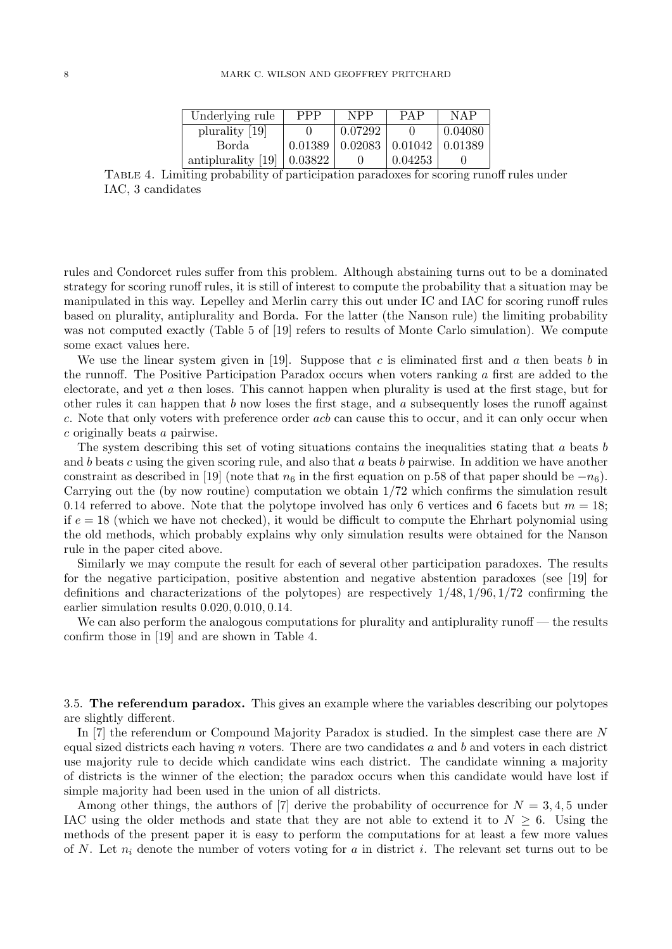| Underlying rule    | <b>PPP</b> | <b>NPP</b> | PAP     | <b>NAP</b> |
|--------------------|------------|------------|---------|------------|
| plurality [19]     |            | 0.07292    |         | 0.04080    |
| Borda              | 0.01389    | 0.02083    | 0.01042 | 0.01389    |
| antiplurality [19] | 0.03822    |            | 0.04253 |            |

Table 4. Limiting probability of participation paradoxes for scoring runoff rules under IAC, 3 candidates

rules and Condorcet rules suffer from this problem. Although abstaining turns out to be a dominated strategy for scoring runoff rules, it is still of interest to compute the probability that a situation may be manipulated in this way. Lepelley and Merlin carry this out under IC and IAC for scoring runoff rules based on plurality, antiplurality and Borda. For the latter (the Nanson rule) the limiting probability was not computed exactly (Table 5 of [19] refers to results of Monte Carlo simulation). We compute some exact values here.

We use the linear system given in [19]. Suppose that c is eliminated first and a then beats b in the runnoff. The Positive Participation Paradox occurs when voters ranking a first are added to the electorate, and yet a then loses. This cannot happen when plurality is used at the first stage, but for other rules it can happen that  $b$  now loses the first stage, and  $a$  subsequently loses the runoff against c. Note that only voters with preference order acb can cause this to occur, and it can only occur when c originally beats a pairwise.

The system describing this set of voting situations contains the inequalities stating that a beats b and b beats c using the given scoring rule, and also that a beats b pairwise. In addition we have another constraint as described in [19] (note that  $n_6$  in the first equation on p.58 of that paper should be  $-n_6$ ). Carrying out the (by now routine) computation we obtain 1/72 which confirms the simulation result 0.14 referred to above. Note that the polytope involved has only 6 vertices and 6 facets but  $m = 18$ ; if  $e = 18$  (which we have not checked), it would be difficult to compute the Ehrhart polynomial using the old methods, which probably explains why only simulation results were obtained for the Nanson rule in the paper cited above.

Similarly we may compute the result for each of several other participation paradoxes. The results for the negative participation, positive abstention and negative abstention paradoxes (see [19] for definitions and characterizations of the polytopes) are respectively  $1/48$ ,  $1/96$ ,  $1/72$  confirming the earlier simulation results 0.020, 0.010, 0.14.

We can also perform the analogous computations for plurality and antiplurality runoff — the results confirm those in [19] and are shown in Table 4.

3.5. The referendum paradox. This gives an example where the variables describing our polytopes are slightly different.

In [7] the referendum or Compound Majority Paradox is studied. In the simplest case there are N equal sized districts each having  $n$  voters. There are two candidates  $a$  and  $b$  and voters in each district use majority rule to decide which candidate wins each district. The candidate winning a majority of districts is the winner of the election; the paradox occurs when this candidate would have lost if simple majority had been used in the union of all districts.

Among other things, the authors of  $[7]$  derive the probability of occurrence for  $N = 3, 4, 5$  under IAC using the older methods and state that they are not able to extend it to  $N \geq 6$ . Using the methods of the present paper it is easy to perform the computations for at least a few more values of N. Let  $n_i$  denote the number of voters voting for a in district i. The relevant set turns out to be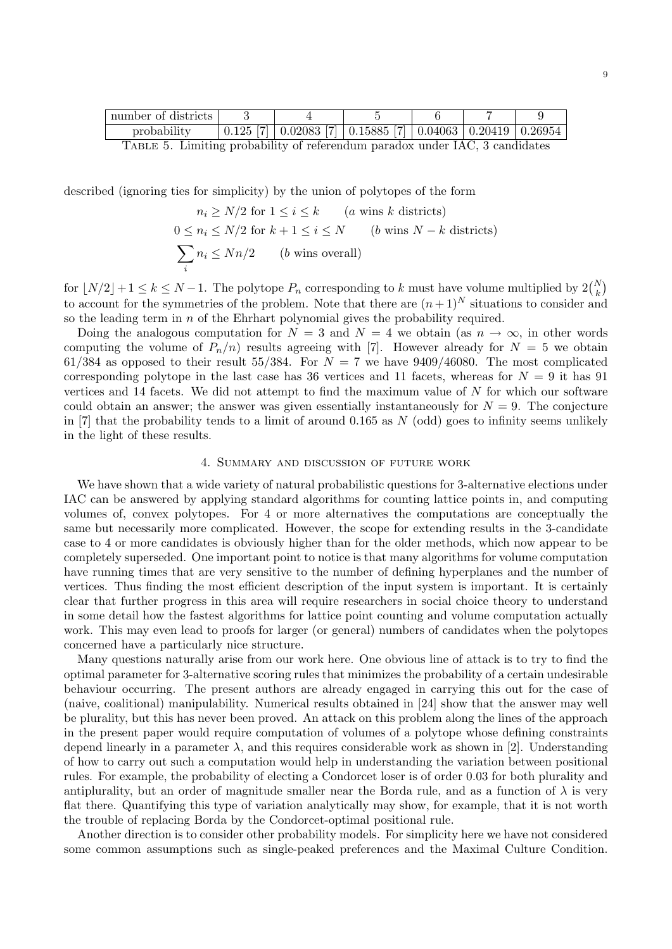| number of districts |  |  |                                                                                                                      |  |  |  |
|---------------------|--|--|----------------------------------------------------------------------------------------------------------------------|--|--|--|
| probability         |  |  | $\frac{1}{10.125}$ [7] $\frac{1}{0.02083}$ [7] $\frac{1}{0.15885}$ [7] $\frac{1}{0.04063}$ $\frac{0.20419}{0.26954}$ |  |  |  |
|                     |  |  |                                                                                                                      |  |  |  |

Table 5. Limiting probability of referendum paradox under IAC, 3 candidates

described (ignoring ties for simplicity) by the union of polytopes of the form

 $n_i \geq N/2$  for  $1 \leq i \leq k$  (*a* wins *k* districts)  $0 \le n_i \le N/2$  for  $k + 1 \le i \le N$  (b wins  $N - k$  districts)  $\sum$ i  $n_i \leq Nn/2$  (b wins overall)

for  $\lfloor N/2 \rfloor + 1 \le k \le N - 1$ . The polytope  $P_n$  corresponding to k must have volume multiplied by  $2\binom{N}{k}$ to account for the symmetries of the problem. Note that there are  $(n+1)^N$  situations to consider and so the leading term in  $n$  of the Ehrhart polynomial gives the probability required.

Doing the analogous computation for  $N = 3$  and  $N = 4$  we obtain (as  $n \to \infty$ , in other words computing the volume of  $P_n(n)$  results agreeing with [7]. However already for  $N = 5$  we obtain 61/384 as opposed to their result 55/384. For  $N = 7$  we have 9409/46080. The most complicated corresponding polytope in the last case has 36 vertices and 11 facets, whereas for  $N = 9$  it has 91 vertices and 14 facets. We did not attempt to find the maximum value of  $N$  for which our software could obtain an answer; the answer was given essentially instantaneously for  $N = 9$ . The conjecture in [7] that the probability tends to a limit of around 0.165 as  $N$  (odd) goes to infinity seems unlikely in the light of these results.

# 4. Summary and discussion of future work

We have shown that a wide variety of natural probabilistic questions for 3-alternative elections under IAC can be answered by applying standard algorithms for counting lattice points in, and computing volumes of, convex polytopes. For 4 or more alternatives the computations are conceptually the same but necessarily more complicated. However, the scope for extending results in the 3-candidate case to 4 or more candidates is obviously higher than for the older methods, which now appear to be completely superseded. One important point to notice is that many algorithms for volume computation have running times that are very sensitive to the number of defining hyperplanes and the number of vertices. Thus finding the most efficient description of the input system is important. It is certainly clear that further progress in this area will require researchers in social choice theory to understand in some detail how the fastest algorithms for lattice point counting and volume computation actually work. This may even lead to proofs for larger (or general) numbers of candidates when the polytopes concerned have a particularly nice structure.

Many questions naturally arise from our work here. One obvious line of attack is to try to find the optimal parameter for 3-alternative scoring rules that minimizes the probability of a certain undesirable behaviour occurring. The present authors are already engaged in carrying this out for the case of (naive, coalitional) manipulability. Numerical results obtained in [24] show that the answer may well be plurality, but this has never been proved. An attack on this problem along the lines of the approach in the present paper would require computation of volumes of a polytope whose defining constraints depend linearly in a parameter  $\lambda$ , and this requires considerable work as shown in [2]. Understanding of how to carry out such a computation would help in understanding the variation between positional rules. For example, the probability of electing a Condorcet loser is of order 0.03 for both plurality and antiplurality, but an order of magnitude smaller near the Borda rule, and as a function of  $\lambda$  is very flat there. Quantifying this type of variation analytically may show, for example, that it is not worth the trouble of replacing Borda by the Condorcet-optimal positional rule.

Another direction is to consider other probability models. For simplicity here we have not considered some common assumptions such as single-peaked preferences and the Maximal Culture Condition.